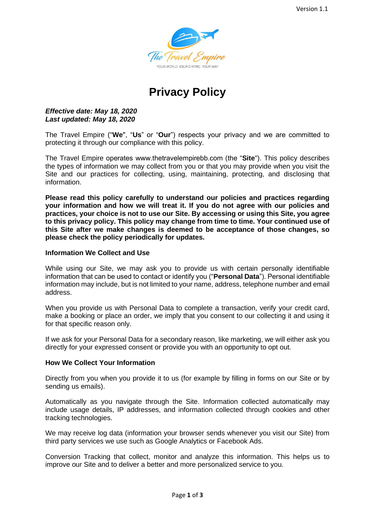

# **Privacy Policy**

#### *Effective date: May 18, 2020 Last updated: May 18, 2020*

The Travel Empire ("**We**", "**Us**" or "**Our**") respects your privacy and we are committed to protecting it through our compliance with this policy.

The Travel Empire operates www.thetravelempirebb.com (the "**Site**"). This policy describes the types of information we may collect from you or that you may provide when you visit the Site and our practices for collecting, using, maintaining, protecting, and disclosing that information.

**Please read this policy carefully to understand our policies and practices regarding your information and how we will treat it. If you do not agree with our policies and practices, your choice is not to use our Site. By accessing or using this Site, you agree to this privacy policy. This policy may change from time to time. Your continued use of this Site after we make changes is deemed to be acceptance of those changes, so please check the policy periodically for updates.**

#### **Information We Collect and Use**

While using our Site, we may ask you to provide us with certain personally identifiable information that can be used to contact or identify you ("**Personal Data**"). Personal identifiable information may include, but is not limited to your name, address, telephone number and email address.

When you provide us with Personal Data to complete a transaction, verify your credit card, make a booking or place an order, we imply that you consent to our collecting it and using it for that specific reason only.

If we ask for your Personal Data for a secondary reason, like marketing, we will either ask you directly for your expressed consent or provide you with an opportunity to opt out.

#### **How We Collect Your Information**

Directly from you when you provide it to us (for example by filling in forms on our Site or by sending us emails).

Automatically as you navigate through the Site. Information collected automatically may include usage details, IP addresses, and information collected through cookies and other tracking technologies.

We may receive log data (information your browser sends whenever you visit our Site) from third party services we use such as Google Analytics or Facebook Ads.

Conversion Tracking that collect, monitor and analyze this information. This helps us to improve our Site and to deliver a better and more personalized service to you.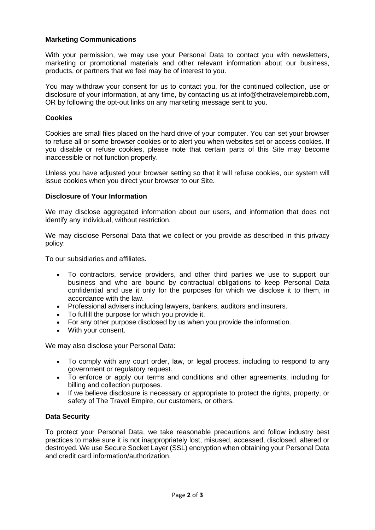### **Marketing Communications**

With your permission, we may use your Personal Data to contact you with newsletters, marketing or promotional materials and other relevant information about our business, products, or partners that we feel may be of interest to you.

You may withdraw your consent for us to contact you, for the continued collection, use or disclosure of your information, at any time, by contacting us at info@thetravelempirebb.com, OR by following the opt-out links on any marketing message sent to you.

#### **Cookies**

Cookies are small files placed on the hard drive of your computer. You can set your browser to refuse all or some browser cookies or to alert you when websites set or access cookies. If you disable or refuse cookies, please note that certain parts of this Site may become inaccessible or not function properly.

Unless you have adjusted your browser setting so that it will refuse cookies, our system will issue cookies when you direct your browser to our Site.

#### **Disclosure of Your Information**

We may disclose aggregated information about our users, and information that does not identify any individual, without restriction.

We may disclose Personal Data that we collect or you provide as described in this privacy policy:

To our subsidiaries and affiliates.

- To contractors, service providers, and other third parties we use to support our business and who are bound by contractual obligations to keep Personal Data confidential and use it only for the purposes for which we disclose it to them, in accordance with the law.
- Professional advisers including lawyers, bankers, auditors and insurers.
- To fulfill the purpose for which you provide it.
- For any other purpose disclosed by us when you provide the information.
- With your consent.

We may also disclose your Personal Data:

- To comply with any court order, law, or legal process, including to respond to any government or regulatory request.
- To enforce or apply our terms and conditions and other agreements, including for billing and collection purposes.
- If we believe disclosure is necessary or appropriate to protect the rights, property, or safety of The Travel Empire, our customers, or others.

#### **Data Security**

To protect your Personal Data, we take reasonable precautions and follow industry best practices to make sure it is not inappropriately lost, misused, accessed, disclosed, altered or destroyed. We use Secure Socket Layer (SSL) encryption when obtaining your Personal Data and credit card information/authorization.